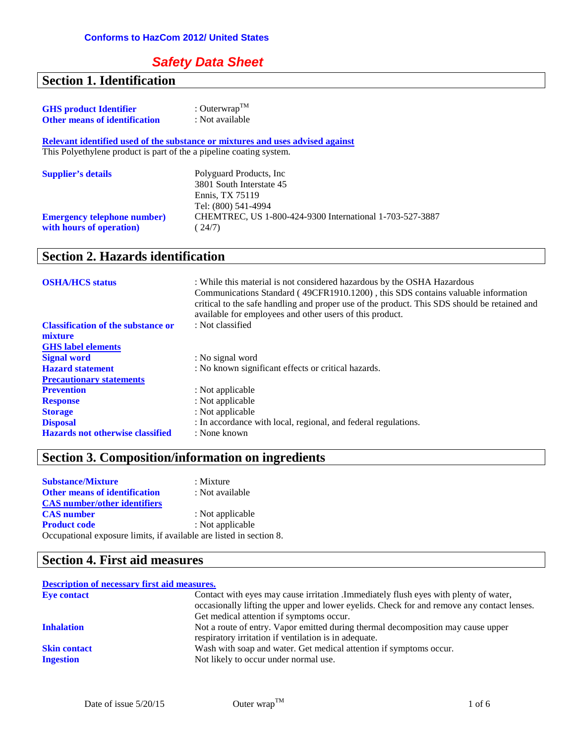## **Safety Data Sheet**

# **Section 1. Identification**

| <b>GHS</b> product Identifier                                       | : Outerwrap <sup>TM</sup>                                                      |
|---------------------------------------------------------------------|--------------------------------------------------------------------------------|
| <b>Other means of identification</b>                                | : Not available                                                                |
|                                                                     | Relevant identified used of the substance or mixtures and uses advised against |
| This Polyethylene product is part of the a pipeline coating system. |                                                                                |
| <b>Supplier's details</b>                                           | Polyguard Products, Inc.<br>3801 South Interstate 45                           |
|                                                                     | Ennis. TX 75119<br>Tel: (800) 541-4994                                         |
| <b>Emergency telephone number)</b><br>with hours of operation)      | CHEMTREC, US 1-800-424-9300 International 1-703-527-3887<br>(24/7)             |

### **Section 2. Hazards identification**

| <b>OSHA/HCS</b> status                    | : While this material is not considered hazardous by the OSHA Hazardous<br>Communications Standard (49CFR1910.1200), this SDS contains valuable information<br>critical to the safe handling and proper use of the product. This SDS should be retained and<br>available for employees and other users of this product. |
|-------------------------------------------|-------------------------------------------------------------------------------------------------------------------------------------------------------------------------------------------------------------------------------------------------------------------------------------------------------------------------|
| <b>Classification of the substance or</b> | : Not classified                                                                                                                                                                                                                                                                                                        |
| mixture                                   |                                                                                                                                                                                                                                                                                                                         |
| <b>GHS</b> label elements                 |                                                                                                                                                                                                                                                                                                                         |
| <b>Signal word</b>                        | : No signal word                                                                                                                                                                                                                                                                                                        |
| <b>Hazard statement</b>                   | : No known significant effects or critical hazards.                                                                                                                                                                                                                                                                     |
| <b>Precautionary statements</b>           |                                                                                                                                                                                                                                                                                                                         |
| <b>Prevention</b>                         | : Not applicable                                                                                                                                                                                                                                                                                                        |
| <b>Response</b>                           | : Not applicable                                                                                                                                                                                                                                                                                                        |
| <b>Storage</b>                            | : Not applicable                                                                                                                                                                                                                                                                                                        |
| <b>Disposal</b>                           | : In accordance with local, regional, and federal regulations.                                                                                                                                                                                                                                                          |
| <b>Hazards not otherwise classified</b>   | : None known                                                                                                                                                                                                                                                                                                            |

# **Section 3. Composition/information on ingredients**

| <b>Substance/Mixture</b>                                            | $:$ Mixture      |
|---------------------------------------------------------------------|------------------|
| <b>Other means of identification</b>                                | : Not available  |
| <b>CAS</b> number/other identifiers                                 |                  |
| <b>CAS</b> number                                                   | : Not applicable |
| <b>Product code</b>                                                 | : Not applicable |
| Occupational exposure limits, if available are listed in section 8. |                  |

### **Section 4. First aid measures**

#### **Description of necessary first aid measures. Eye contact** Contact with eyes may cause irritation .Immediately flush eyes with plenty of water, occasionally lifting the upper and lower eyelids. Check for and remove any contact lenses. Get medical attention if symptoms occur. **Inhalation** Not a route of entry. Vapor emitted during thermal decomposition may cause upper respiratory irritation if ventilation is in adequate. **Skin contact** Wash with soap and water. Get medical attention if symptoms occur. **Ingestion** Not likely to occur under normal use.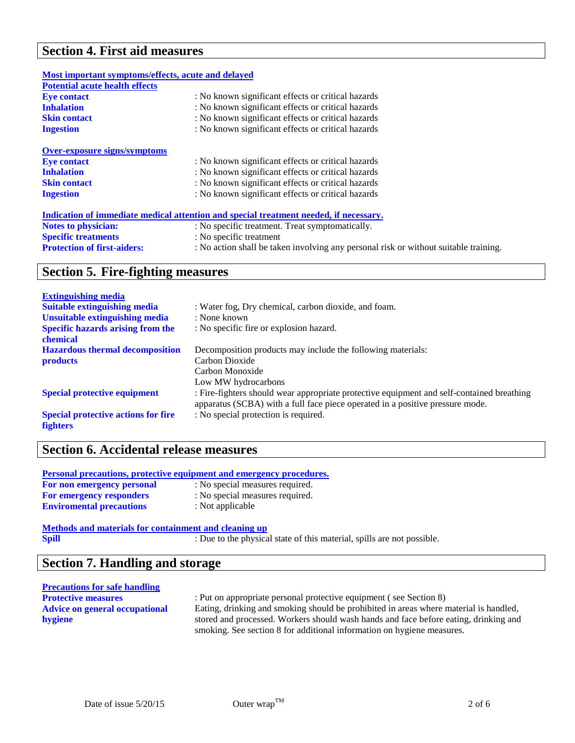# **Section 4. First aid measures**

| Most important symptoms/effects, acute and delayed |                                                                                       |
|----------------------------------------------------|---------------------------------------------------------------------------------------|
| <b>Potential acute health effects</b>              |                                                                                       |
| <b>Eve contact</b>                                 | : No known significant effects or critical hazards                                    |
| <b>Inhalation</b>                                  | : No known significant effects or critical hazards                                    |
| <b>Skin contact</b>                                | : No known significant effects or critical hazards                                    |
| <b>Ingestion</b>                                   | : No known significant effects or critical hazards                                    |
| <b>Over-exposure signs/symptoms</b>                |                                                                                       |
| <b>Eye contact</b>                                 | : No known significant effects or critical hazards                                    |
| <b>Inhalation</b>                                  | : No known significant effects or critical hazards                                    |
| <b>Skin contact</b>                                | : No known significant effects or critical hazards                                    |
| <b>Ingestion</b>                                   | : No known significant effects or critical hazards                                    |
|                                                    | Indication of immediate medical attention and special treatment needed, if necessary. |
| <b>Notes to physician:</b>                         | : No specific treatment. Treat symptomatically.                                       |
| <b>Specific treatments</b>                         | : No specific treatment                                                               |
| <b>Protection of first-aiders:</b>                 | : No action shall be taken involving any personal risk or without suitable training.  |

# **Section 5. Fire-fighting measures**

| <b>Extinguishing media</b>                 |                                                                                                                                                                            |
|--------------------------------------------|----------------------------------------------------------------------------------------------------------------------------------------------------------------------------|
| <b>Suitable extinguishing media</b>        | : Water fog, Dry chemical, carbon dioxide, and foam.                                                                                                                       |
| <b>Unsuitable extinguishing media</b>      | : None known                                                                                                                                                               |
| <b>Specific hazards arising from the</b>   | : No specific fire or explosion hazard.                                                                                                                                    |
| chemical                                   |                                                                                                                                                                            |
| <b>Hazardous thermal decomposition</b>     | Decomposition products may include the following materials:                                                                                                                |
| <b>products</b>                            | Carbon Dioxide                                                                                                                                                             |
|                                            | Carbon Monoxide                                                                                                                                                            |
|                                            | Low MW hydrocarbons                                                                                                                                                        |
| <b>Special protective equipment</b>        | : Fire-fighters should wear appropriate protective equipment and self-contained breathing<br>apparatus (SCBA) with a full face piece operated in a positive pressure mode. |
| <b>Special protective actions for fire</b> | : No special protection is required.                                                                                                                                       |
| <b>fighters</b>                            |                                                                                                                                                                            |

#### **Section 6. Accidental release measures**

| : No special measures required. |
|---------------------------------|
| : No special measures required. |
| : Not applicable                |
|                                 |

**Methods and materials for containment and cleaning up**<br>Spill : Due to the physica **Spill** : Due to the physical state of this material, spills are not possible.

#### **Section 7. Handling and storage**

| <b>Precautions for safe handling</b> |                                                                                       |
|--------------------------------------|---------------------------------------------------------------------------------------|
| <b>Protective measures</b>           | : Put on appropriate personal protective equipment (see Section 8)                    |
| Advice on general occupational       | Eating, drinking and smoking should be prohibited in areas where material is handled, |
| hygiene                              | stored and processed. Workers should wash hands and face before eating, drinking and  |
|                                      | smoking. See section 8 for additional information on hygiene measures.                |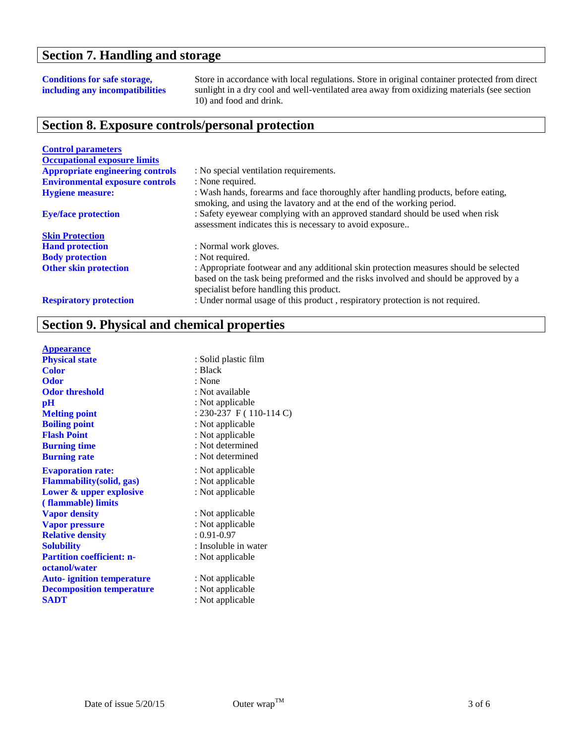## **Section 7. Handling and storage**

#### **Conditions for safe storage, including any incompatibilities**

Store in accordance with local regulations. Store in original container protected from direct sunlight in a dry cool and well-ventilated area away from oxidizing materials (see section 10) and food and drink.

# **Section 8. Exposure controls/personal protection**

| <b>Control parameters</b>               |                                                                                                                                                                                                                           |
|-----------------------------------------|---------------------------------------------------------------------------------------------------------------------------------------------------------------------------------------------------------------------------|
| <b>Occupational exposure limits</b>     |                                                                                                                                                                                                                           |
| <b>Appropriate engineering controls</b> | : No special ventilation requirements.                                                                                                                                                                                    |
| <b>Environmental exposure controls</b>  | : None required.                                                                                                                                                                                                          |
| <b>Hygiene measure:</b>                 | : Wash hands, forearms and face thoroughly after handling products, before eating,<br>smoking, and using the lavatory and at the end of the working period.                                                               |
| <b>Eye/face protection</b>              | : Safety eyewear complying with an approved standard should be used when risk<br>assessment indicates this is necessary to avoid exposure                                                                                 |
| <b>Skin Protection</b>                  |                                                                                                                                                                                                                           |
| <b>Hand protection</b>                  | : Normal work gloves.                                                                                                                                                                                                     |
| <b>Body protection</b>                  | : Not required.                                                                                                                                                                                                           |
| <b>Other skin protection</b>            | : Appropriate footwear and any additional skin protection measures should be selected<br>based on the task being preformed and the risks involved and should be approved by a<br>specialist before handling this product. |
| <b>Respiratory protection</b>           | : Under normal usage of this product, respiratory protection is not required.                                                                                                                                             |

# **Section 9. Physical and chemical properties**

| <b>Appearance</b>                 |                         |
|-----------------------------------|-------------------------|
| <b>Physical state</b>             | : Solid plastic film    |
| <b>Color</b>                      | : Black                 |
| <b>Odor</b>                       | : None                  |
| <b>Odor threshold</b>             | : Not available         |
| $\mathbf{p}$ H                    | : Not applicable        |
| <b>Melting point</b>              | : 230-237 F (110-114 C) |
| <b>Boiling point</b>              | : Not applicable        |
| <b>Flash Point</b>                | : Not applicable        |
| <b>Burning time</b>               | : Not determined        |
| <b>Burning rate</b>               | : Not determined        |
| <b>Evaporation rate:</b>          | : Not applicable        |
| <b>Flammability</b> (solid, gas)  | : Not applicable        |
| Lower & upper explosive           | : Not applicable        |
| (flammable) limits                |                         |
| <b>Vapor density</b>              | : Not applicable        |
| <b>Vapor pressure</b>             | : Not applicable        |
| <b>Relative density</b>           | $: 0.91 - 0.97$         |
| <b>Solubility</b>                 | : Insoluble in water    |
| <b>Partition coefficient: n-</b>  | : Not applicable        |
| octanol/water                     |                         |
| <b>Auto-</b> ignition temperature | : Not applicable        |
| <b>Decomposition temperature</b>  | : Not applicable        |
| <b>SADT</b>                       | : Not applicable        |
|                                   |                         |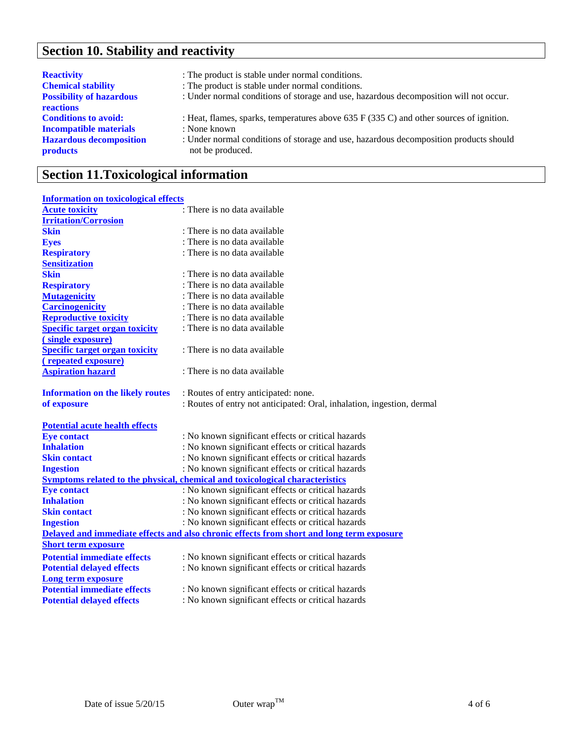# **Section 10. Stability and reactivity**

| <b>Reactivity</b>                                                                                                 | : The product is stable under normal conditions.                                                                                                                                                                      |
|-------------------------------------------------------------------------------------------------------------------|-----------------------------------------------------------------------------------------------------------------------------------------------------------------------------------------------------------------------|
| <b>Chemical stability</b>                                                                                         | : The product is stable under normal conditions.                                                                                                                                                                      |
| <b>Possibility of hazardous</b><br>reactions                                                                      | : Under normal conditions of storage and use, hazardous decomposition will not occur.                                                                                                                                 |
| <b>Conditions to avoid:</b><br><b>Incompatible materials</b><br><b>Hazardous decomposition</b><br><b>products</b> | : Heat, flames, sparks, temperatures above 635 $F(335 C)$ and other sources of ignition.<br>: None known<br>: Under normal conditions of storage and use, hazardous decomposition products should<br>not be produced. |

# **Section 11.Toxicological information**

| <b>Information on toxicological effects</b> |                                                                                          |
|---------------------------------------------|------------------------------------------------------------------------------------------|
| <b>Acute toxicity</b>                       | : There is no data available                                                             |
| <b>Irritation/Corrosion</b>                 |                                                                                          |
| <b>Skin</b>                                 | : There is no data available                                                             |
| <b>Eyes</b>                                 | : There is no data available                                                             |
| <b>Respiratory</b>                          | : There is no data available                                                             |
| <b>Sensitization</b>                        |                                                                                          |
| <b>Skin</b>                                 | : There is no data available                                                             |
| <b>Respiratory</b>                          | : There is no data available                                                             |
| <b>Mutagenicity</b>                         | : There is no data available                                                             |
| <b>Carcinogenicity</b>                      | : There is no data available                                                             |
| <b>Reproductive toxicity</b>                | : There is no data available                                                             |
| <b>Specific target organ toxicity</b>       | : There is no data available                                                             |
| (single exposure)                           |                                                                                          |
| <b>Specific target organ toxicity</b>       | : There is no data available                                                             |
| (repeated exposure)                         |                                                                                          |
| <b>Aspiration hazard</b>                    | : There is no data available                                                             |
|                                             |                                                                                          |
| <b>Information on the likely routes</b>     | : Routes of entry anticipated: none.                                                     |
| of exposure                                 | : Routes of entry not anticipated: Oral, inhalation, ingestion, dermal                   |
|                                             |                                                                                          |
| <b>Potential acute health effects</b>       |                                                                                          |
| <b>Eye contact</b>                          | : No known significant effects or critical hazards                                       |
| <b>Inhalation</b>                           | : No known significant effects or critical hazards                                       |
| <b>Skin contact</b>                         | : No known significant effects or critical hazards                                       |
| <b>Ingestion</b>                            | : No known significant effects or critical hazards                                       |
|                                             | <b>Symptoms related to the physical, chemical and toxicological characteristics</b>      |
| <b>Eye contact</b>                          | : No known significant effects or critical hazards                                       |
| <b>Inhalation</b>                           | : No known significant effects or critical hazards                                       |
| <b>Skin contact</b>                         | : No known significant effects or critical hazards                                       |
| <b>Ingestion</b>                            | : No known significant effects or critical hazards                                       |
|                                             | Delayed and immediate effects and also chronic effects from short and long term exposure |
| <b>Short term exposure</b>                  |                                                                                          |
| <b>Potential immediate effects</b>          | : No known significant effects or critical hazards                                       |
| <b>Potential delayed effects</b>            | : No known significant effects or critical hazards                                       |
| <b>Long term exposure</b>                   |                                                                                          |
| <b>Potential immediate effects</b>          | : No known significant effects or critical hazards                                       |
| <b>Potential delayed effects</b>            | : No known significant effects or critical hazards                                       |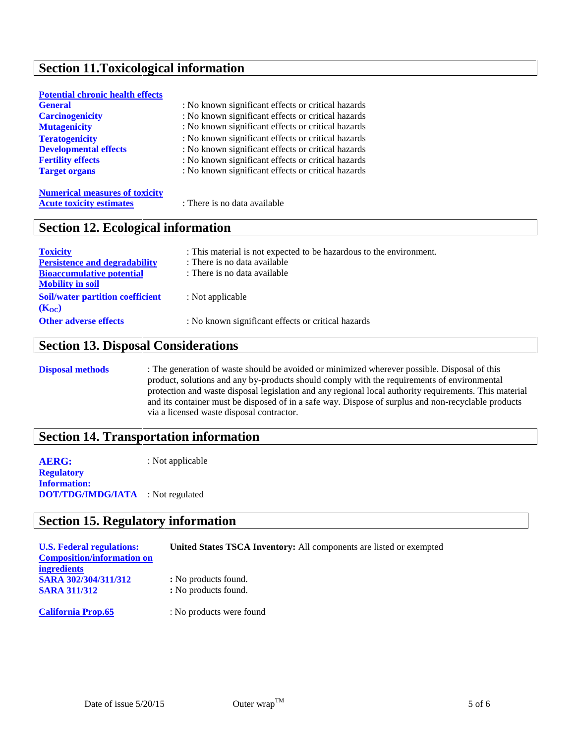# **Section 11.Toxicological information**

| <b>Potential chronic health effects</b> |                                                    |
|-----------------------------------------|----------------------------------------------------|
| <b>General</b>                          | : No known significant effects or critical hazards |
| <b>Carcinogenicity</b>                  | : No known significant effects or critical hazards |
| <b>Mutagenicity</b>                     | : No known significant effects or critical hazards |
| <b>Teratogenicity</b>                   | : No known significant effects or critical hazards |
| <b>Developmental effects</b>            | : No known significant effects or critical hazards |
| <b>Fertility effects</b>                | : No known significant effects or critical hazards |
| <b>Target organs</b>                    | : No known significant effects or critical hazards |
|                                         |                                                    |

**Numerical measures of toxicity Acute toxicity estimates** : There is no data available

#### **Section 12. Ecological information**

| <b>Toxicity</b><br><b>Persistence and degradability</b><br><b>Bioaccumulative potential</b> | : This material is not expected to be hazardous to the environment.<br>: There is no data available<br>: There is no data available |
|---------------------------------------------------------------------------------------------|-------------------------------------------------------------------------------------------------------------------------------------|
| <b>Mobility in soil</b><br><b>Soil/water partition coefficient</b><br>$(K_{OC})$            | : Not applicable                                                                                                                    |
| <b>Other adverse effects</b>                                                                | : No known significant effects or critical hazards                                                                                  |

# **Section 13. Disposal Considerations**

**Disposal methods** : The generation of waste should be avoided or minimized wherever possible. Disposal of this product, solutions and any by-products should comply with the requirements of environmental protection and waste disposal legislation and any regional local authority requirements. This material and its container must be disposed of in a safe way. Dispose of surplus and non-recyclable products via a licensed waste disposal contractor.

#### **Section 14. Transportation information**

**AERG:** : Not applicable **Regulatory Information: DOT/TDG/IMDG/IATA** : Not regulated

#### **Section 15. Regulatory information**

| <b>U.S. Federal regulations:</b><br><b>Composition/information on</b> | <b>United States TSCA Inventory:</b> All components are listed or exempted |
|-----------------------------------------------------------------------|----------------------------------------------------------------------------|
| <b>ingredients</b>                                                    |                                                                            |
| SARA 302/304/311/312<br><b>SARA 311/312</b>                           | : No products found.<br>: No products found.                               |
| <b>California Prop.65</b>                                             | : No products were found                                                   |